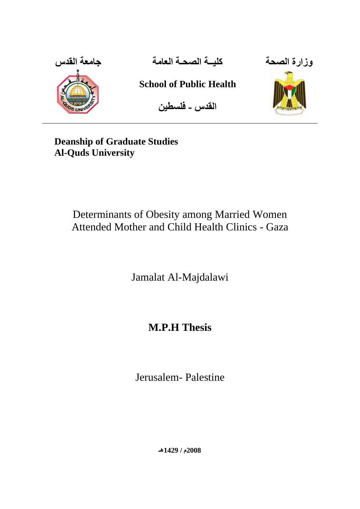

**وزارة الصحت كليــت الصحـت العامت جامعت القدس**

**School of Public Health**

**القدس - فلسطين**



**Deanship of Graduate Studies Al-Quds University**

# Determinants of Obesity among Married Women Attended Mother and Child Health Clinics - Gaza

Jamalat Al-Majdalawi

# **M.P.H Thesis**

Jerusalem- Palestine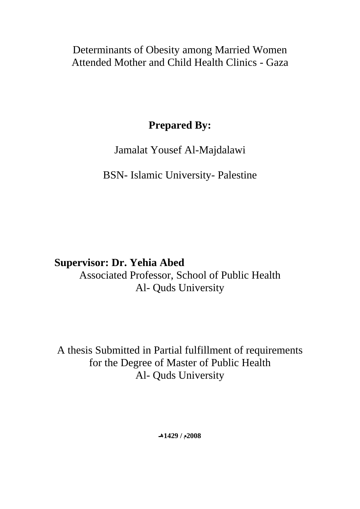Determinants of Obesity among Married Women Attended Mother and Child Health Clinics - Gaza

# **Prepared By:**

# Jamalat Yousef Al-Majdalawi

# BSN- Islamic University- Palestine

# **Supervisor: Dr. Yehia Abed**

Associated Professor, School of Public Health Al- Quds University

A thesis Submitted in Partial fulfillment of requirements for the Degree of Master of Public Health Al- Quds University

**2008م / 1429هـ**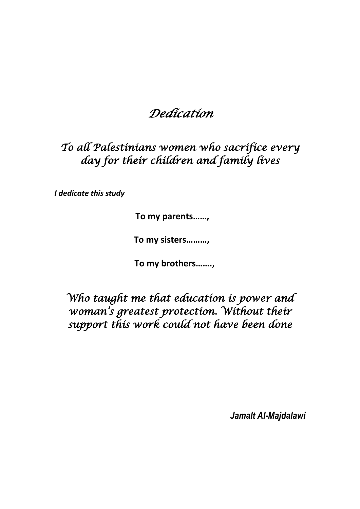# *Dedication*

*To all Palestinians women who sacrifice every day for their children and family lives*

*I dedicate this study*

**To my parents……,** 

**To my sisters………,** 

**To my brothers…….,** 

*Who taught me that education is power and woman's greatest protection. Without their support this work could not have been done*

*Jamalt Al-Majdalawi*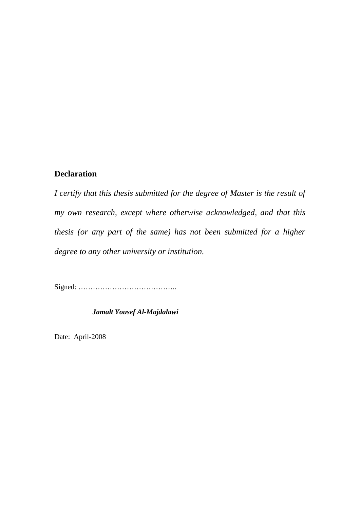### **Declaration**

*I certify that this thesis submitted for the degree of Master is the result of my own research, except where otherwise acknowledged, and that this thesis (or any part of the same) has not been submitted for a higher degree to any other university or institution.* 

Signed: …………………………………..

 *Jamalt Yousef Al-Majdalawi*

Date: April-2008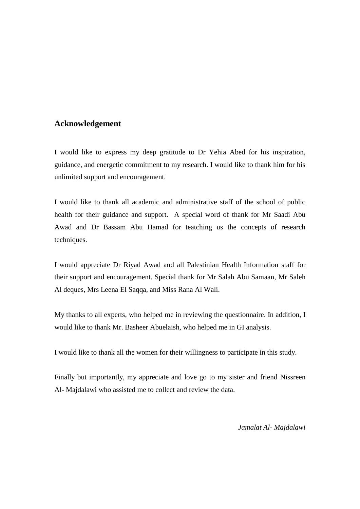### **Acknowledgement**

I would like to express my deep gratitude to Dr Yehia Abed for his inspiration, guidance, and energetic commitment to my research. I would like to thank him for his unlimited support and encouragement.

I would like to thank all academic and administrative staff of the school of public health for their guidance and support. A special word of thank for Mr Saadi Abu Awad and Dr Bassam Abu Hamad for teatching us the concepts of research techniques.

I would appreciate Dr Riyad Awad and all Palestinian Health Information staff for their support and encouragement. Special thank for Mr Salah Abu Samaan, Mr Saleh Al deques, Mrs Leena El Saqqa, and Miss Rana Al Wali.

My thanks to all experts, who helped me in reviewing the questionnaire. In addition, I would like to thank Mr. Basheer Abuelaish, who helped me in GI analysis.

I would like to thank all the women for their willingness to participate in this study.

Finally but importantly, my appreciate and love go to my sister and friend Nissreen Al- Majdalawi who assisted me to collect and review the data.

*Jamalat Al- Majdalawi*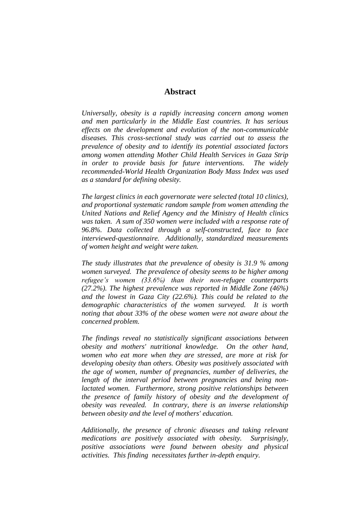### **Abstract**

*Universally, obesity is a rapidly increasing concern among women and men particularly in the Middle East countries. It has serious effects on the development and evolution of the non-communicable diseases. This cross-sectional study was carried out to assess the prevalence of obesity and to identify its potential associated factors among women attending Mother Child Health Services in Gaza Strip in order to provide basis for future interventions. The widely recommended-World Health Organization Body Mass Index was used as a standard for defining obesity.* 

*The largest clinics in each governorate were selected (total 10 clinics), and proportional systematic random sample from women attending the United Nations and Relief Agency and the Ministry of Health clinics was taken. A sum of 350 women were included with a response rate of 96.8%. Data collected through a self-constructed, face to face interviewed-questionnaire. Additionally, standardized measurements of women height and weight were taken.* 

*The study illustrates that the prevalence of obesity is 31.9 % among women surveyed. The prevalence of obesity seems to be higher among refugee's women (33.6%) than their non-refugee counterparts (27.2%). The highest prevalence was reported in Middle Zone (46%) and the lowest in Gaza City (22.6%). This could be related to the demographic characteristics of the women surveyed. It is worth noting that about 33% of the obese women were not aware about the concerned problem.* 

*The findings reveal no statistically significant associations between obesity and mothers' nutritional knowledge. On the other hand, women who eat more when they are stressed, are more at risk for developing obesity than others. Obesity was positively associated with the age of women, number of pregnancies, number of deliveries, the length of the interval period between pregnancies and being nonlactated women. Furthermore, strong positive relationships between the presence of family history of obesity and the development of obesity was revealed. In contrary, there is an inverse relationship between obesity and the level of mothers' education.* 

*Additionally, the presence of chronic diseases and taking relevant medications are positively associated with obesity. Surprisingly, positive associations were found between obesity and physical activities. This finding necessitates further in-depth enquiry.*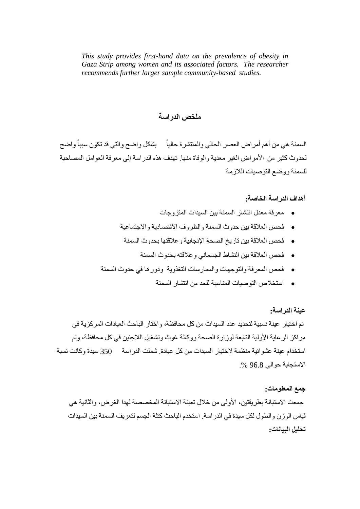*This study provides first-hand data on the prevalence of obesity in Gaza Strip among women and its associated factors. The researcher recommends further larger sample community-based studies.* 

### **ملخص الدراست**

السمنة هي من أهم أمر اض العصر الحالي و المنتشر ة حالياً بشكل و اضح و التي قد تكون سبباً و اضح ًا لحدوث كثيرٍ من الأمراض الغير معدية والوفاة منها. تهدف هذه الدراسة إلى معرفة العوامل المصاحبة للسمنة ووضع التوصيات اللازمة

**أهداف الدراست الخاصت:**

- معرفة معدل انتشار السمنة بين السيدات المتز وجات
- فلحص العلاقة بين حدوث السمنة والظروف الاقتصادية والاجتماعية
	- فحص العلاقة بين تاريخ الصحة الإنجابية و علاقتها بحدوث السمنة
		- فحص العلاقة بين النشاط الجسماني وعلاقته بحدوث السمنة
- فحص المعرفة والتوجهات والممارسات التغذوية ودورها في حدوث السمنة
	- استخلاص التوصيات المناسبة للحد من انتشار السمنة

**عينت الدراست:**

تم اختيار عينة نسبية لتحديد عدد السيدات من كل محافظة، واختار الباحث العيادات المركز ية في مر اكز الر عاية الأولية التابعة لوز ار ة الصحة ووكالة غوث وتشغيل اللاجئين في كل محافظة، وتم استخدام عبنة عشوائبة منظمة لاختبار السبدات من كل عبادة شملت الدر اسة 350 سبدة و كانت نسبة الاستجابة حوالي 96.8 %.

#### **جمع المعلوماث:**

جمعت الاسنبانة بطريقتين، الأولى من خلال تعبئة الاسنبانة المخصصة لهدا الغرض، والثانية هي قياس الوزن والطول لكل سيدة في الدر اسة. استخدم الباحث كتلة الجسم لتعريف السمنة بين السيدات **تحليل البياناث:**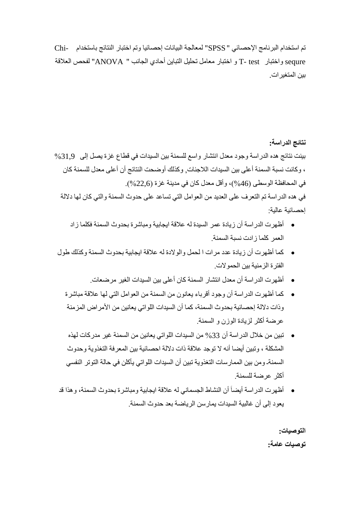تم استخدام البرنامج الإحصائي " SPSS" لمعالجة البيانات إحصائيا وتم اختبار النتائج باستخدام -Chi sequre واختبار T- test و اختبار معامل تحليل التباين أحادي الجانب " ANOVA" لفحص العلاقة بين المتغير ات.

**نتائج الدراست:** بينت نتائج هذه الدراسة وجود معدل انتشار واسع للسمنة بين السيدات في قطاع غزة بصل إلى هي31,9 ، وكانت نسبة السمنة أعلى بين السيدات اللاجئات, وكذلك أوضحت النتائج أن أعلى معدل للسمنة كان في المحافظة الوسطى (46%)، وأقل معدل كان في مدينة غزة (22,6%). في هذه الدراسة تم التعرف على العديد من العوامل التي تساعد على حدوث السمنة والتي كان لها دلالة إحصائية عالية:

- أظهرت الدر اسة أن زيادة عمر ِ السيدة له علاقة ايجابية ومباشرة بحدوث السمنة فكلما ز اد العمر كلما زادت نسبة السمنة.
- كما أظهرت أن زيادة عدد مرات ا لحمل والو لادة له علاقة ابجابية بحدوث السمنة وكذلك طول الفتر ة الزمنية بين الحمو لات.
	- أظهرت الدر اسة أن معدل انتشار السمنة كان أعلى بين السيدات الغير مر ضعات.
	- كما أظهرت الدراسة أن وجود أقرباء بعانون من السمنة من العوامل التي لها علاقة مباشرة وذات دلالة إحصائية بحدوث السمنة، كما أن السيدات اللواتي بعانين من الأمر اض المزمنة عرضنة أكثر لزبادة الوزن و السمنة
	- تبين من خلال الدر اسة أن 33% من السيدات اللواتي يعانين من السمنة غير مدر كات لهذه المشكلة ، ونبين أيضا أنه لا توجد علاقة ذات دلالة احصائية بين المعرفة النغذوية وحدوث السمنة ومن بين الممار سات التغذوية تبين أن السيدات اللواتي يأكلن في حالة التوتر النفسي أكثر عرضنة للسمنة
- أظهرت الدراسة أيضـاً أن النشاط الجسماني له علاقة ايجابية ومباشرة بحدوث السمنة، وهذا قد يعود إلى أن غالبية السيدات يمار سن الرياضة بعد حدوث السمنة

**التوصياث: توصياث عامت:**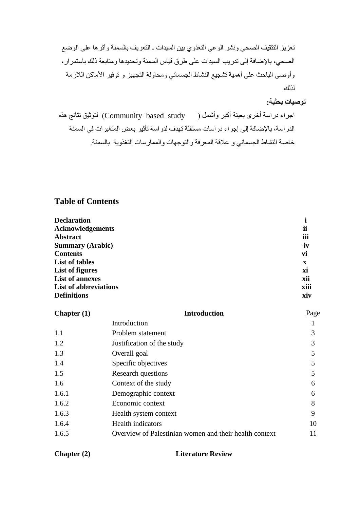تعزيز التثقيف الصحي ونشر الوعي التغذوي بين السيدات ـ التعريف بالسمنة وأثرها على الوضع الصحي، بالإضافة إلى تدريب السيدات على طرق قياس السمنة وتحديدها ومتابعة ذلك باستمرار، وأوصىي الباحث على أهمية تشجيع النشاط الجسماني ومحاولة التجهيز و توفير الأماكن اللازمة نزنكة

### **توصياث بحثيت:**

اجراء دراسة أخرى بعينة أكبر وأشمل ( Community based study ) لتوثيق نتائج هذه الدراسة، بالإضافة إلى إجراء دراسات مستقلة تهدف لدراسة تأثير بعض المتغيرات في السمنة خاصنة النشاط الجسماني و علاقة المعرفة والتوجهات والممارسات التغذوية بالسمنة

### **Table of Contents**

| <b>Declaration</b>           |      |
|------------------------------|------|
| <b>Acknowledgements</b>      | ii   |
| <b>Abstract</b>              | iii  |
| <b>Summary (Arabic)</b>      | iv   |
| <b>Contents</b>              | vi   |
| <b>List of tables</b>        | X    |
| List of figures              | xi   |
| <b>List of annexes</b>       | xii  |
| <b>List of abbreviations</b> | xiii |
| <b>Definitions</b>           | xiv  |

| Chapter $(1)$ | <b>Introduction</b>                                    | Page |
|---------------|--------------------------------------------------------|------|
|               | Introduction                                           |      |
| 1.1           | Problem statement                                      | 3    |
| 1.2           | Justification of the study                             | 3    |
| 1.3           | Overall goal                                           | 5    |
| 1.4           | Specific objectives                                    |      |
| 1.5           | Research questions                                     |      |
| 1.6           | Context of the study                                   | 6    |
| 1.6.1         | Demographic context                                    | 6    |
| 1.6.2         | Economic context                                       | 8    |
| 1.6.3         | Health system context                                  | 9    |
| 1.6.4         | <b>Health</b> indicators                               | 10   |
| 1.6.5         | Overview of Palestinian women and their health context | 11   |

### **Chapter (2) Literature Review**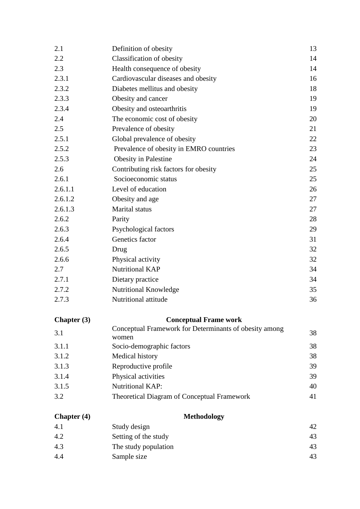| 2.1         | Definition of obesity                                  | 13 |
|-------------|--------------------------------------------------------|----|
| 2.2         | Classification of obesity                              | 14 |
| 2.3         | Health consequence of obesity                          | 14 |
| 2.3.1       | Cardiovascular diseases and obesity                    |    |
| 2.3.2       | Diabetes mellitus and obesity                          |    |
| 2.3.3       | Obesity and cancer                                     | 19 |
| 2.3.4       | Obesity and osteoarthritis                             | 19 |
| 2.4         | The economic cost of obesity                           | 20 |
| 2.5         | Prevalence of obesity                                  | 21 |
| 2.5.1       | Global prevalence of obesity                           | 22 |
| 2.5.2       | Prevalence of obesity in EMRO countries                | 23 |
| 2.5.3       | <b>Obesity in Palestine</b>                            | 24 |
| 2.6         | Contributing risk factors for obesity                  | 25 |
| 2.6.1       | Socioeconomic status                                   | 25 |
| 2.6.1.1     | Level of education                                     | 26 |
| 2.6.1.2     | Obesity and age                                        | 27 |
| 2.6.1.3     | Marital status                                         | 27 |
| 2.6.2       | Parity                                                 | 28 |
| 2.6.3       | Psychological factors                                  | 29 |
| 2.6.4       | Genetics factor                                        | 31 |
| 2.6.5       | Drug                                                   | 32 |
| 2.6.6       | Physical activity                                      | 32 |
| 2.7         | <b>Nutritional KAP</b>                                 | 34 |
| 2.7.1       | Dietary practice                                       | 34 |
| 2.7.2       | Nutritional Knowledge                                  | 35 |
| 2.7.3       | Nutritional attitude                                   | 36 |
| Chapter (3) | <b>Conceptual Frame work</b>                           |    |
| 3.1         | Conceptual Framework for Determinants of obesity among | 38 |
|             | women                                                  |    |
| 3.1.1       | Socio-demographic factors                              | 38 |
| 3.1.2       | Medical history                                        | 38 |
| 3.1.3       | Reproductive profile                                   | 39 |
| 3.1.4       | Physical activities                                    | 39 |
| 3.1.5       | <b>Nutritional KAP:</b>                                | 40 |
| 3.2         | <b>Theoretical Diagram of Conceptual Framework</b>     | 41 |
| Chapter (4) | <b>Methodology</b>                                     |    |
| 4.1         | Study design                                           | 42 |
| 4.2         | Setting of the study                                   | 43 |
| 4.3         | The study population                                   | 43 |
| 4.4         | Sample size                                            | 43 |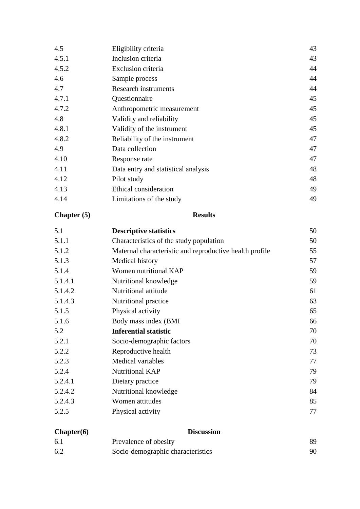| 4.5.1<br>Inclusion criteria<br>4.5.2<br>Exclusion criteria<br>4.6<br>Sample process<br>4.7<br><b>Research instruments</b><br>4.7.1<br>Questionnaire<br>4.7.2<br>Anthropometric measurement<br>4.8<br>Validity and reliability<br>4.8.1<br>Validity of the instrument<br>4.8.2<br>Reliability of the instrument<br>4.9<br>Data collection<br>4.10<br>Response rate<br>4.11<br>Data entry and statistical analysis<br>4.12<br>Pilot study<br>4.13<br>Ethical consideration<br>4.14<br>Limitations of the study | 4.5 | Eligibility criteria | 43 |
|--------------------------------------------------------------------------------------------------------------------------------------------------------------------------------------------------------------------------------------------------------------------------------------------------------------------------------------------------------------------------------------------------------------------------------------------------------------------------------------------------------------|-----|----------------------|----|
|                                                                                                                                                                                                                                                                                                                                                                                                                                                                                                              |     |                      | 43 |
|                                                                                                                                                                                                                                                                                                                                                                                                                                                                                                              |     |                      | 44 |
|                                                                                                                                                                                                                                                                                                                                                                                                                                                                                                              |     |                      | 44 |
|                                                                                                                                                                                                                                                                                                                                                                                                                                                                                                              |     |                      | 44 |
|                                                                                                                                                                                                                                                                                                                                                                                                                                                                                                              |     |                      | 45 |
|                                                                                                                                                                                                                                                                                                                                                                                                                                                                                                              |     |                      | 45 |
|                                                                                                                                                                                                                                                                                                                                                                                                                                                                                                              |     |                      | 45 |
|                                                                                                                                                                                                                                                                                                                                                                                                                                                                                                              |     |                      | 45 |
|                                                                                                                                                                                                                                                                                                                                                                                                                                                                                                              |     |                      | 47 |
|                                                                                                                                                                                                                                                                                                                                                                                                                                                                                                              |     |                      | 47 |
|                                                                                                                                                                                                                                                                                                                                                                                                                                                                                                              |     |                      | 47 |
|                                                                                                                                                                                                                                                                                                                                                                                                                                                                                                              |     |                      | 48 |
|                                                                                                                                                                                                                                                                                                                                                                                                                                                                                                              |     |                      | 48 |
|                                                                                                                                                                                                                                                                                                                                                                                                                                                                                                              |     |                      | 49 |
|                                                                                                                                                                                                                                                                                                                                                                                                                                                                                                              |     |                      | 49 |

### **Chapter (5) Results**

| 5.1     | <b>Descriptive statistics</b>                           | 50 |
|---------|---------------------------------------------------------|----|
| 5.1.1   | Characteristics of the study population                 | 50 |
| 5.1.2   | Maternal characteristic and reproductive health profile | 55 |
| 5.1.3   | Medical history                                         | 57 |
| 5.1.4   | Women nutritional KAP                                   | 59 |
| 5.1.4.1 | Nutritional knowledge                                   | 59 |
| 5.1.4.2 | Nutritional attitude                                    | 61 |
| 5.1.4.3 | Nutritional practice                                    | 63 |
| 5.1.5   | Physical activity                                       | 65 |
| 5.1.6   | Body mass index (BMI                                    | 66 |
| 5.2     | <b>Inferential statistic</b>                            | 70 |
| 5.2.1   | Socio-demographic factors                               | 70 |
| 5.2.2   | Reproductive health                                     | 73 |
| 5.2.3   | Medical variables                                       | 77 |
| 5.2.4   | <b>Nutritional KAP</b>                                  | 79 |
| 5.2.4.1 | Dietary practice                                        | 79 |
| 5.2.4.2 | Nutritional knowledge                                   | 84 |
| 5.2.4.3 | Women attitudes                                         | 85 |
| 5.2.5   | Physical activity                                       | 77 |

| Chapter(6) | <b>Discussion</b>                 |    |
|------------|-----------------------------------|----|
| 6.1        | Prevalence of obesity             | 89 |
| 6.2        | Socio-demographic characteristics | 90 |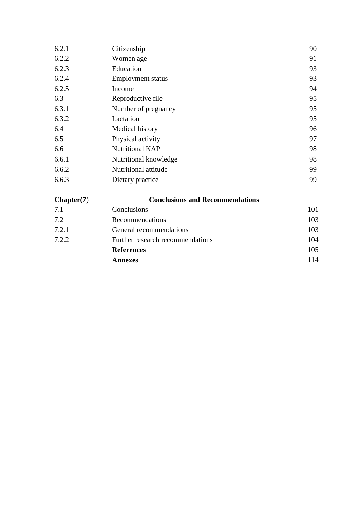| 6.2.1 | Citizenship              | 90 |
|-------|--------------------------|----|
| 6.2.2 | Women age                | 91 |
| 6.2.3 | Education                | 93 |
| 6.2.4 | <b>Employment status</b> | 93 |
| 6.2.5 | Income                   | 94 |
| 6.3   | Reproductive file        | 95 |
| 6.3.1 | Number of pregnancy      | 95 |
| 6.3.2 | Lactation                | 95 |
| 6.4   | Medical history          | 96 |
| 6.5   | Physical activity        | 97 |
| 6.6   | Nutritional KAP          | 98 |
| 6.6.1 | Nutritional knowledge    | 98 |
| 6.6.2 | Nutritional attitude     | 99 |
| 6.6.3 | Dietary practice         | 99 |

### **Chapter(7**) **Conclusions and Recommendations** 7.1 Conclusions 101 7.2 Recommendations 103 7.2.1 General recommendations 103 7.2.2 Further research recommendations 104 **References** 105 **Annexes** 114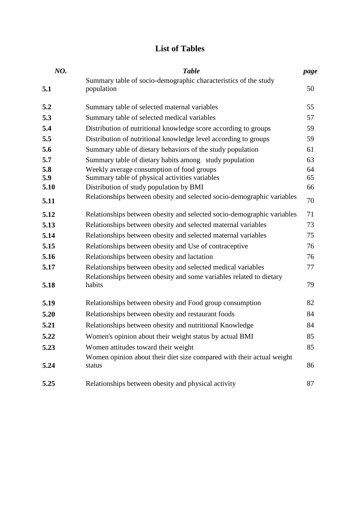### **List of Tables**

| NO.  | <b>Table</b>                                                           | page |
|------|------------------------------------------------------------------------|------|
|      | Summary table of socio-demographic characteristics of the study        |      |
| 5.1  | population                                                             | 50   |
| 5.2  | Summary table of selected maternal variables                           | 55   |
| 5.3  | Summary table of selected medical variables                            | 57   |
| 5.4  | Distribution of nutritional knowledge score according to groups        | 59   |
| 5.5  | Distribution of nutritional knowledge level according to groups        | 59   |
| 5.6  | Summary table of dietary behaviors of the study population             | 61   |
| 5.7  | Summary table of dietary habits among study population                 | 63   |
| 5.8  | Weekly average consumption of food groups                              | 64   |
| 5.9  | Summary table of physical activities variables                         | 65   |
| 5.10 | Distribution of study population by BMI                                | 66   |
| 5.11 | Relationships between obesity and selected socio-demographic variables | 70   |
| 5.12 | Relationships between obesity and selected socio-demographic variables | 71   |
| 5.13 | Relationships between obesity and selected maternal variables          | 73   |
| 5.14 | Relationships between obesity and selected maternal variables          | 75   |
| 5.15 | Relationships between obesity and Use of contraceptive                 | 76   |
| 5.16 | Relationships between obesity and lactation                            | 76   |
| 5.17 | Relationships between obesity and selected medical variables           | 77   |
|      | Relationships between obesity and some variables related to dietary    |      |
| 5.18 | habits                                                                 | 79   |
| 5.19 | Relationships between obesity and Food group consumption               | 82   |
| 5.20 | Relationships between obesity and restaurant foods                     | 84   |
| 5.21 | Relationships between obesity and nutritional Knowledge                | 84   |
| 5.22 | Women's opinion about their weight status by actual BMI                | 85   |
| 5.23 | Women attitudes toward their weight                                    | 85   |
|      | Women opinion about their diet size compared with their actual weight  |      |
| 5.24 | status                                                                 | 86   |
| 5.25 | Relationships between obesity and physical activity                    | 87   |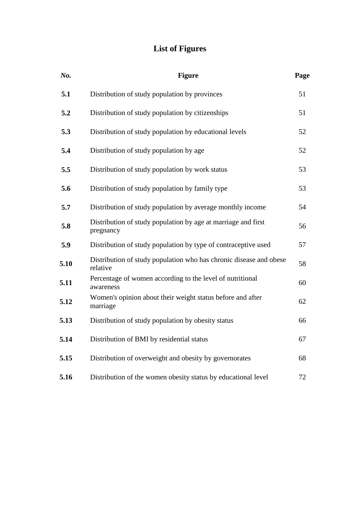## **List of Figures**

| No.  | <b>Figure</b>                                                                  | Page |
|------|--------------------------------------------------------------------------------|------|
| 5.1  | Distribution of study population by provinces                                  | 51   |
| 5.2  | Distribution of study population by citizenships                               | 51   |
| 5.3  | Distribution of study population by educational levels                         | 52   |
| 5.4  | Distribution of study population by age                                        | 52   |
| 5.5  | Distribution of study population by work status                                | 53   |
| 5.6  | Distribution of study population by family type                                | 53   |
| 5.7  | Distribution of study population by average monthly income                     | 54   |
| 5.8  | Distribution of study population by age at marriage and first<br>pregnancy     | 56   |
| 5.9  | Distribution of study population by type of contraceptive used                 | 57   |
| 5.10 | Distribution of study population who has chronic disease and obese<br>relative | 58   |
| 5.11 | Percentage of women according to the level of nutritional<br>awareness         | 60   |
| 5.12 | Women's opinion about their weight status before and after<br>marriage         | 62   |
| 5.13 | Distribution of study population by obesity status                             | 66   |
| 5.14 | Distribution of BMI by residential status                                      | 67   |
| 5.15 | Distribution of overweight and obesity by governorates                         | 68   |
| 5.16 | Distribution of the women obesity status by educational level                  | 72   |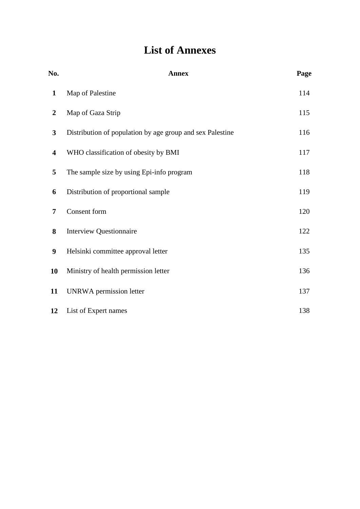# **List of Annexes**

| No.                     | <b>Annex</b>                                              | Page |
|-------------------------|-----------------------------------------------------------|------|
| $\mathbf{1}$            | Map of Palestine                                          | 114  |
| $\overline{2}$          | Map of Gaza Strip                                         | 115  |
| $\mathbf{3}$            | Distribution of population by age group and sex Palestine | 116  |
| $\overline{\mathbf{4}}$ | WHO classification of obesity by BMI                      | 117  |
| 5                       | The sample size by using Epi-info program                 | 118  |
| 6                       | Distribution of proportional sample                       | 119  |
| 7                       | Consent form                                              | 120  |
| 8                       | <b>Interview Questionnaire</b>                            | 122  |
| $\boldsymbol{9}$        | Helsinki committee approval letter                        | 135  |
| <b>10</b>               | Ministry of health permission letter                      | 136  |
| 11                      | UNRWA permission letter                                   | 137  |
| 12                      | List of Expert names                                      | 138  |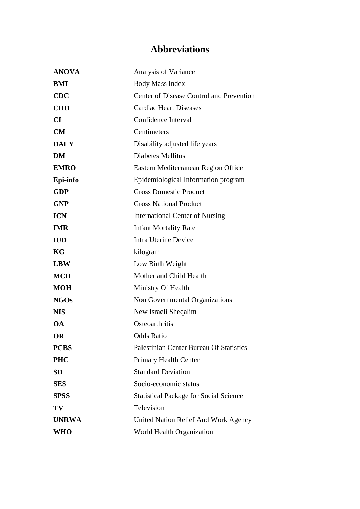# **Abbreviations**

| <b>ANOVA</b> | Analysis of Variance                           |
|--------------|------------------------------------------------|
| BMI          | <b>Body Mass Index</b>                         |
| <b>CDC</b>   | Center of Disease Control and Prevention       |
| <b>CHD</b>   | <b>Cardiac Heart Diseases</b>                  |
| CI           | Confidence Interval                            |
| CM           | Centimeters                                    |
| <b>DALY</b>  | Disability adjusted life years                 |
| <b>DM</b>    | <b>Diabetes Mellitus</b>                       |
| <b>EMRO</b>  | Eastern Mediterranean Region Office            |
| Epi-info     | Epidemiological Information program            |
| <b>GDP</b>   | <b>Gross Domestic Product</b>                  |
| <b>GNP</b>   | <b>Gross National Product</b>                  |
| <b>ICN</b>   | <b>International Center of Nursing</b>         |
| <b>IMR</b>   | <b>Infant Mortality Rate</b>                   |
| <b>IUD</b>   | <b>Intra Uterine Device</b>                    |
| KG           | kilogram                                       |
| <b>LBW</b>   | Low Birth Weight                               |
| <b>MCH</b>   | Mother and Child Health                        |
| <b>MOH</b>   | Ministry Of Health                             |
| <b>NGOs</b>  | Non Governmental Organizations                 |
| <b>NIS</b>   | New Israeli Sheqalim                           |
| <b>OA</b>    | Osteoarthritis                                 |
| <b>OR</b>    | <b>Odds Ratio</b>                              |
| <b>PCBS</b>  | <b>Palestinian Center Bureau Of Statistics</b> |
| <b>PHC</b>   | Primary Health Center                          |
| <b>SD</b>    | <b>Standard Deviation</b>                      |
| <b>SES</b>   | Socio-economic status                          |
| <b>SPSS</b>  | <b>Statistical Package for Social Science</b>  |
| TV           | Television                                     |
| <b>UNRWA</b> | <b>United Nation Relief And Work Agency</b>    |
| <b>WHO</b>   | World Health Organization                      |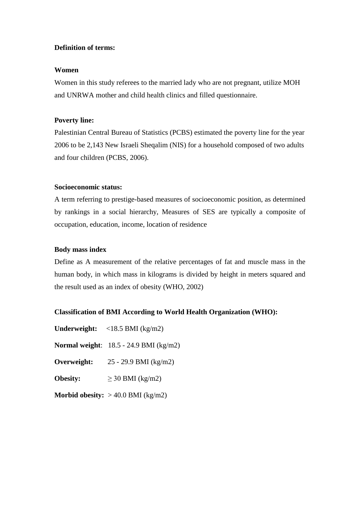### **Definition of terms:**

### **Women**

Women in this study referees to the married lady who are not pregnant, utilize MOH and UNRWA mother and child health clinics and filled questionnaire.

### **Poverty line:**

Palestinian Central Bureau of Statistics (PCBS) estimated the poverty line for the year 2006 to be 2,143 New Israeli Sheqalim (NIS) for a household composed of two adults and four children (PCBS, 2006).

### **Socioeconomic status:**

A term referring to prestige-based measures of socioeconomic position, as determined by rankings in a social hierarchy, Measures of SES are typically a composite of occupation, education, income, location of residence

### **Body mass index**

Define as A measurement of the relative percentages of fat and muscle mass in the human body, in which mass in kilograms is divided by height in meters squared and the result used as an index of obesity (WHO, 2002)

### **Classification of BMI According to World Health Organization (WHO):**

| <b>Underweight:</b> $\langle 18.5 \text{ BMI (kg/m2)} \rangle$ |
|----------------------------------------------------------------|
| Normal weight: $18.5 - 24.9$ BMI (kg/m2)                       |
| 25 - 29.9 BMI (kg/m2)                                          |
| $\geq$ 30 BMI (kg/m2)                                          |
| Morbid obesity: $> 40.0$ BMI (kg/m2)                           |
|                                                                |